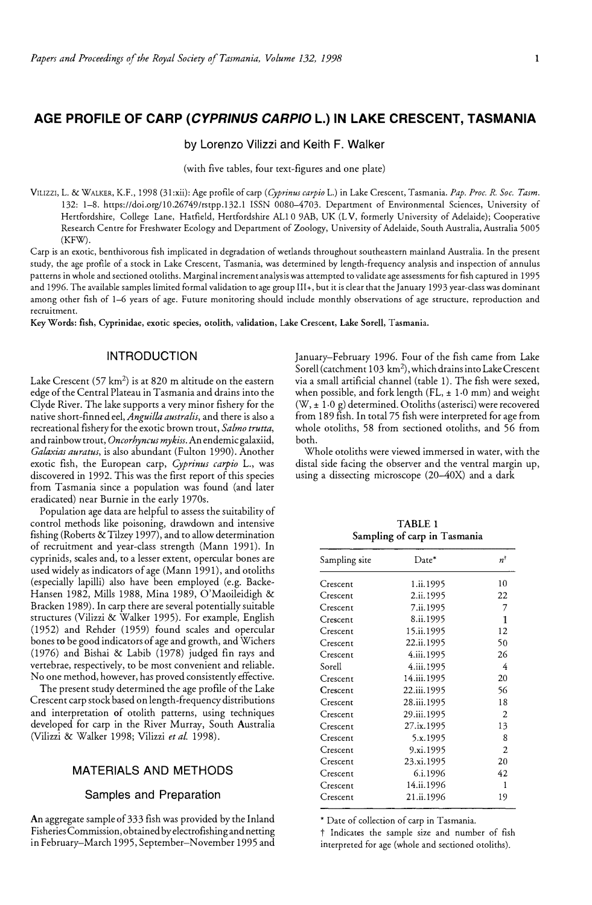# **AGE PROFILE OF CARP** *(CYPR/NUS CARPIO* **L.) IN LAKE CRESCENT, TASMANIA**

## by Lorenzo Vilizzi and Keith F. Walker

(with five tables, four text-figures and one plate)

V1uzz1, L. & WALKER, K.F., 1998 (31:xii): Age profile of carp *(Cyprinus carpio* L.) in Lake Crescent, Tasmania. *Pap. Proc. R. Soc. Tasm.*  132: 1-8. https://doi.org/10.26749/rstpp.132.1 ISSN 0080-4703. Department of Environmental Sciences, University of Hertfordshire, College Lane, Hatfield, Hertfordshire ALl 0 9AB, UK (L V, formerly University of Adelaide); Cooperative Research Centre for Freshwater Ecology and Department of Zoology, University of Adelaide, South Australia, Australia 5005 (KFW).

Carp is an exotic, benthivorous fish implicated in degradation of wetlands throughout southeastern mainland Australia. In the present study, the age profile of a stock in Lake Crescent, Tasmania, was determined by length-frequency analysis and inspection of annulus patterns in whole and sectioned otoliths. Marginal increment analysis was attempted to validate age assessments for fish captured in 1995 and 1996. The available samples limited formal validation to age group III+, but it is clear that the January 1993 year-class was dominant among other fish of 1-6 years of age. Future monitoring should include monthly observations of age structure, reproduction and recruitment.

Key Words: fish, Cyprinidae, exotic species, otolith, validation, Lake Crescent, Lake Sorell, Tasmania.

## INTRODUCTION

Lake Crescent (57  $km^2$ ) is at 820 m altitude on the eastern edge of the Central Plateau in Tasmania and drains into the Clyde River. The lake supports a very minor fishery for the native short-finned eel, *Anguilla australis,* and there is also a recreational fishery for the exotic brown trout, *Salmo trutta,*  and rainbow trout, *Oncorhyncus my kiss.* An endemic galaxiid, *Galaxias auratus,* is also abundant (Fulton 1990). Another exotic fish, the European carp, *Cyprinus carpio* L., was discovered in 1992. This was the first report of this species from Tasmania since a population was found (and later eradicated) near Burnie in the early 1970s.

Population age data are helpful to assess the suitability of control methods like poisoning, drawdown and intensive fishing (Roberts & Tilzey 1997), and to allow determination of recruitment and year-class strength (Mann 1991). In cyprinids, scales and, to a lesser extent, opercular bones are used widely as indicators of age (Mann 1991), and otoliths (especially lapilli) also have been employed (e.g. Backe-Hansen 1982, Mills 1988, Mina 1989, O'Maoileidigh & Bracken 1989). In carp there are several potentially suitable structures (Vilizzi & Walker 1995). For example, English (1952) and Rehder (1959) found scales and opercular bones to be good indicators of age and growth, and Wichers (1976) and Bishai & Labib (1978) judged fin rays and vertebrae, respectively, to be most convenient and reliable. No one method, however, has proved consistently effective.

The present study determined the age profile of the Lake Crescent carp stock based on length-frequency distributions and interpretation of otolith patterns, using techniques developed for carp in the River Murray, South Australia (Vilizzi & Walker 1998; Vilizzi *et al.* 1998).

## MATERIALS AND METHODS

## Samples and Preparation

An aggregate sample of 333 fish was provided by the Inland Fisheries Commission, obtained by electrofishing and netting in February-March 1995, September-November 1995 and January-February 1996. Four of the fish came from Lake Sorell (catchment 103 km<sup>2</sup>), which drains into Lake Crescent via a small artificial channel (table 1). The fish were sexed, when possible, and fork length (FL,  $\pm$  1.0 mm) and weight  $(W, \pm 1.0 \text{ g})$  determined. Otoliths (asterisci) were recovered from 189 fish. In total 75 fish were interpreted for age from whole otoliths, 58 from sectioned otoliths, and 56 from both.

Whole otoliths were viewed immersed in water, with the distal side facing the observer and the ventral margin up, using a dissecting microscope (20-40X) and a dark

**TABLE 1 Sampling of carp in Tasmania** 

| Sampling site | Date*       | $n^{\dagger}$  |  |
|---------------|-------------|----------------|--|
| Crescent      | 1.ii.1995   | 10             |  |
| Crescent      | 2.ii.1995   | 22             |  |
| Crescent      | 7.ii.1995   | 7              |  |
| Crescent      | 8.ii.1995   | 1              |  |
| Crescent      | 15.ii.1995  | 12             |  |
| Crescent      | 22.ii.1995  | 50             |  |
| Crescent      | 4.iii.1995  | 26             |  |
| Sorell        | 4.iii.1995  | 4              |  |
| Crescent      | 14.iii.1995 | 20             |  |
| Crescent      | 22.iii.1995 | 56             |  |
| Crescent      | 28.iii.1995 | 18             |  |
| Crescent      | 29.iii.1995 | 2              |  |
| Crescent      | 27.ix.1995  | 13             |  |
| Crescent      | 5.x.1995    | 8              |  |
| Crescent      | 9.xi.1995   | $\overline{c}$ |  |
| Crescent      | 23.xi.1995  | 20             |  |
| Crescent      | 6.i.1996    | 42             |  |
| Crescent      | 14.ii.1996  | 1              |  |
| Crescent      | 21.ii.1996  | 19             |  |

\* Date of collection of carp in Tasmania.

t Indicates the sample size and number of fish interpreted for age (whole and sectioned otoliths).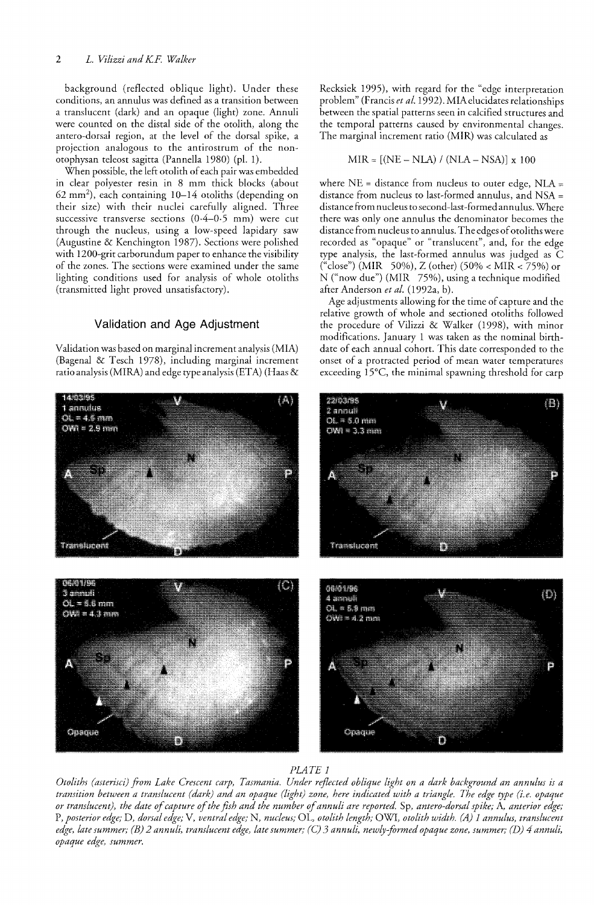background (reflected oblique light). Under these conditions, an annulus was defined as a transition between a translucent (dark) and an opaque (light) zone. Annuli were counted on the distal side of the otolith, along the antero-dorsal region, at the level of the dorsal spike, a projection analogous to the antirostrum of the nonotophysan teleost sagitta (Pannella 1980) (pI. 1).

When possible, the left otolith of each pair was embedded in clear polyester resin in 8 mm thick blocks (about  $62 \text{ mm}^2$ ), each containing  $10-14$  otoliths (depending on their size) with their nuclei carefully aligned. Three successive transverse sections (0·4-0·5 mm) were cut through the nucleus, using a low-speed lapidary saw (Augustine & Kenchington 1987). Sections were polished with 1200-grit carborundum paper to enhance the visibility of the zones. The sections were examined under the same lighting conditions used for analysis of whole otoliths (transmitted light proved unsatisfactory).

### **Validation and Age Adjustment**

Validation was based on marginal increment analysis (MIA) (Bagenal & Tesch 1978), including marginal increment ratio analysis (MIRA) and edge type analysis (ETA) (Haas & Recksiek 1995), with regard for the "edge interpretation problem" (Francis *et al.* 1992). MIA elucidates relationships between the spatial patterns seen in calcified structures and the temporal patterns caused by environmental changes. The marginal increment ratio (MIR) was calculated as

$$
MIR = [(NE - NLA) / (NLA - NSA)] x 100
$$

where NE = distance from nucleus to outer edge, NLA = distance from nucleus to last-formed annulus, and NSA = distance from nucleus to second-last-formedannulus. Where there was only one annulus the denominator becomes the distance from nucleus to annulus. The edges of otoliths were recorded as "opaque" or "translucent", and, for the edge type analysis, the last-formed annulus was judged as C ("close") (MIR 50%), Z (other) (50% < MIR < 75%) or N ("now due") (MIR 75%), using a technique modified after Anderson *et al.* (1992a, b).

Age adjustments allowing for the time of capture and the relative growth of whole and sectioned otoliths followed the procedure of Vilizzi & Walker (1998), with minor modifications. January 1 was taken as the nominal birthdate of each annual cohort. This date corresponded to the onset of a protracted period of mean water temperatures exceeding 15°C, the minimal spawning threshold for carp





*Otoliths (asterisci) from Lake Crescent carp, Tasmania. Under reflected oblique light on a dark background an annulus is a transition between a translucent (dark) and an opaque (light) zone, here indicated with a triangle. The edge type (i.e. opaque or translucent), the date of capture of the fish and the number of annuli are reported.* Sp, *antero-dorsal spike;* A, *anterior edge;*  P, *posterior edge;* D, *dorsal edge;* V, *ventral edge;* N, *nucleus;* OL, *otolith length;* OWl, *otolith width. (A) 1 annulus, translucent edge, late summer; (B)* 2 *annuli, translucent edge, late summer;* (C) 3 *annuli, newly-formed opaque zone, summer; (D)* 4 *annuli, opaque edge, summer.*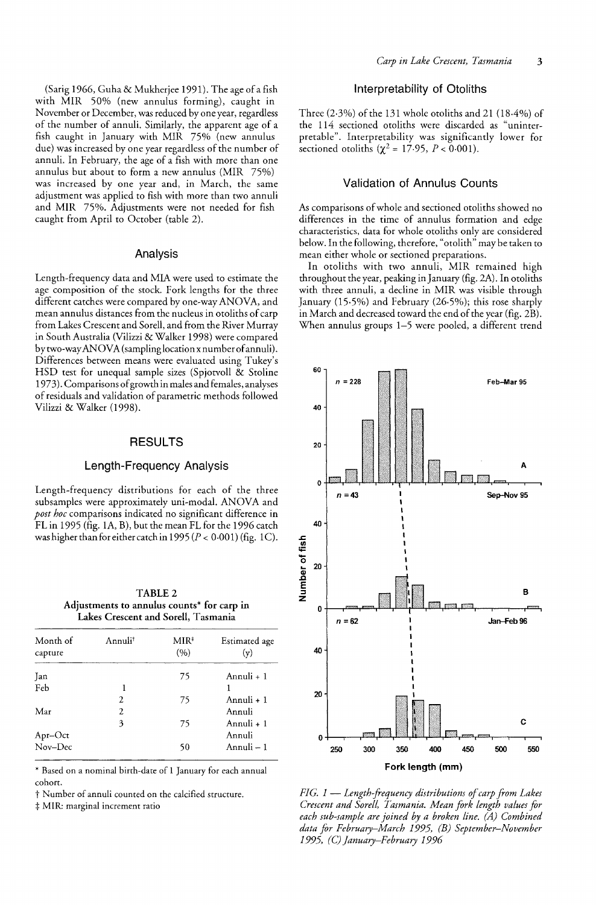(Sarig 1966, Cuha & Mukherjee 1991). The age of a fish with MIR 50% (new annulus forming), caught in November or December, was reduced by one year, regardless of the number of annuli. Similarly, the apparent age of a fish caught in January with MIR 75% (new annulus due) was increased by one year regardless of the number of annuli. In February, the age of a fish with more than one annulus but about to form a new annulus (MIR 75%) was increased by one year and, in March, the same adjustment was applied to fish with more than two annuli and MIR 75%. Adjustments were not needed for fish caught from April to October (table 2).

#### Analysis

Length-frequency data and MIA were used to estimate the age composition of the stock. Fork lengths for the three different catches were compared by one-way ANOVA, and mean annulus distances from the nucleus in otoliths of carp from Lakes Crescent and Sorell, and from the River Murray in South Australia (Vilizzi & Walker 1998) were compared by two-way ANOVA (sampling location x number of annuli). Differences between means were evaluated using Tukey's HSD test for unequal sample sizes (Spjotvoll & Stoline 1973). Comparisons of growth in males and females, analyses of residuals and validation of parametric methods followed Vilizzi & Walker (1998).

### RESULTS

#### Length-Frequency Analysis

Length-frequency distributions for each of the three subsamples were approximately uni-modal. ANOVA and *post hoc* comparisons indicated no significant difference in FLin 1995 (fig. lA, B), but the mean FL for the 1996 catch was higher than for either catch in 1995 ( $P < 0.001$ ) (fig. 1C).

| TABLE 2                                    |
|--------------------------------------------|
| Adjustments to annulus counts* for carp in |
| Lakes Crescent and Sorell, Tasmania        |

| Month of<br>capture | Annuli <sup>t</sup> | MIR <sup>‡</sup><br>(9) | Estimated age<br>(v) |
|---------------------|---------------------|-------------------------|----------------------|
| Jan                 |                     | 75                      | Annuli + 1           |
| Feb                 | 1                   |                         |                      |
|                     | 2                   | 75                      | Annuli + 1           |
| Mar                 | $\overline{c}$      |                         | Annuli               |
|                     | 3                   | 75                      | Annuli + 1           |
|                     |                     |                         | Annuli               |
| Apr–Oct<br>Nov–Dec  |                     | 50                      | Annuli - 1           |

\* Based on a nominal birth-date of 1 January for each annual cohort.

t Number of annuli counted on the calcified structure.

 $\ddagger$  MIR: marginal increment ratio

### Interpretability of Otoliths

Three (2·3%) of the 131 whole otoliths and 21 (18.4%) of the 114 sectioned otoliths were discarded as "uninterpretable". Interpretability was significantly lower for sectioned otoliths  $(\chi^2 = 17.95, P < 0.001)$ .

## Validation of Annulus Counts

As comparisons of whole and sectioned otoliths showed no differences in the time of annulus formation and edge characteristics, data for whole otoliths only are considered below. In the following, therefore, "otolith" may be taken to mean either whole or sectioned preparations.

In otoliths with two annuli, MIR remained high throughout the year, peaking in January (fig. 2A). In otoliths with three annuli, a decline in MIR was visible through January (15·5%) and February (26·5%); this rose sharply in March and decreased toward the end of the year (fig. 2B). When annulus groups 1-5 were pooled, a different trend



*FIG.* 1- *Length-frequency distributions of carp from Lakes Crescent and Sorell, Tasmania. Mean fork length values for each sub-sample are joined by a broken line. (A) Combined data for February-March* 1995, *(B) September-November 1995, (C) January-February 1996*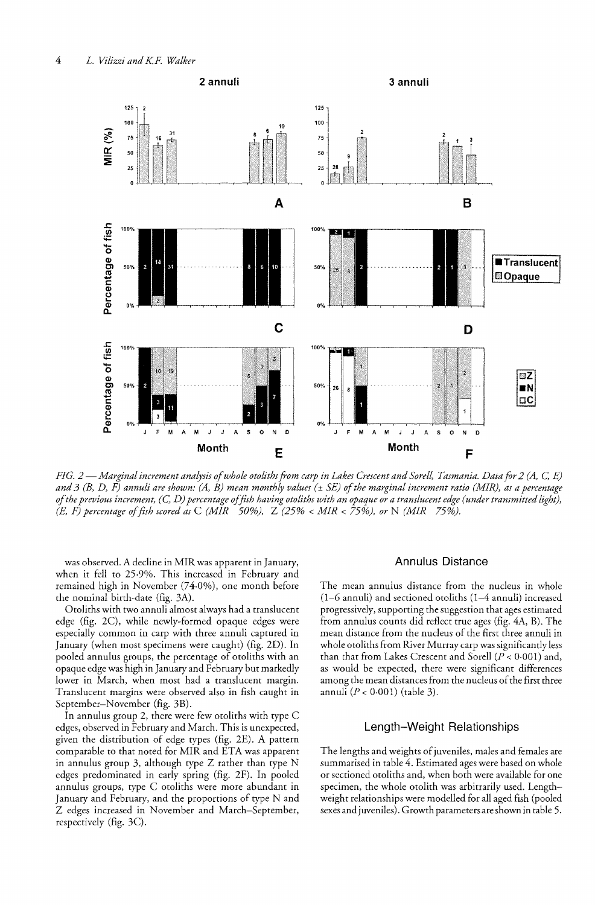

*FIG. 2* — Marginal increment analysis of whole otoliths from carp in Lakes Crescent and Sorell, Tasmania. Data for 2 (A, C, E) and 3 (B, D, F) annuli are shown: (A, B) mean monthly values (± SE) of the marginal increment ratio (MIR), as a percentage *of the previous increment,* (c, *D) percentage of fish having otoliths with an opaque or a translucent edge (under transmitted light), (E, F) percentage of fish scored as* C *(MIR 50%),* Z (25% < *MIR* < 75%), *or* N *(MIR 75%).* 

was observed. A decline in MIR was apparent in January, when it fell to 25-9%. This increased in February and remained high in November (74·0%), one month before the nominal birth-date (fig. 3A).

Otoliths with two annuli almost always had a translucent edge (fig. 2C), while newly-formed opaque edges were especially common in carp with three annuli captured in January (when most specimens were caught) (fig. 2D). In pooled annulus groups, the percentage of otoliths with an opaque edge was high in January and February but markedly lower in March, when most had a translucent margin. Translucent margins were observed also in fish caught in September-November (fig. 3B).

In annulus group 2, there were few otoliths with type C edges, observed in February and March. This is unexpected, given the distribution of edge types (fig. 2E). A pattern comparable to that noted for MIR and ETA was apparent in annulus group 3, although type Z rather than type N edges predominated in early spring (fig. 2F). In pooled annulus groups, type C otoliths were more abundant in January and February, and the proportions of type N and Z edges increased in November and March-September, respectively (fig. 3C).

#### Annulus Distance

The mean annulus distance from the nucleus in whole (1-6 annuli) and sectioned otoliths (1-4 annuli) increased progressively, supporting the suggestion that ages estimated from annulus counts did reflect true ages (fig. 4A, B). The mean distance from the nucleus of the first three annuli in whole otoliths from River Murray carp was significantly less than that from Lakes Crescent and Sorell  $(P < 0.001)$  and, as would be expected, there were significant differences among the mean distances from the nucleus of the first three annuli  $(P < 0.001)$  (table 3).

## Length-Weight Relationships

The lengths and weights of juveniles, males and females are summarised in table 4. Estimated ages were based on whole or sectioned otoliths and, when both were available for one specimen, the whole otolith was arbitrarily used. Lengthweight relationships were modelled for all aged fish (pooled sexes and juveniles). Growth parameters are shown in table 5.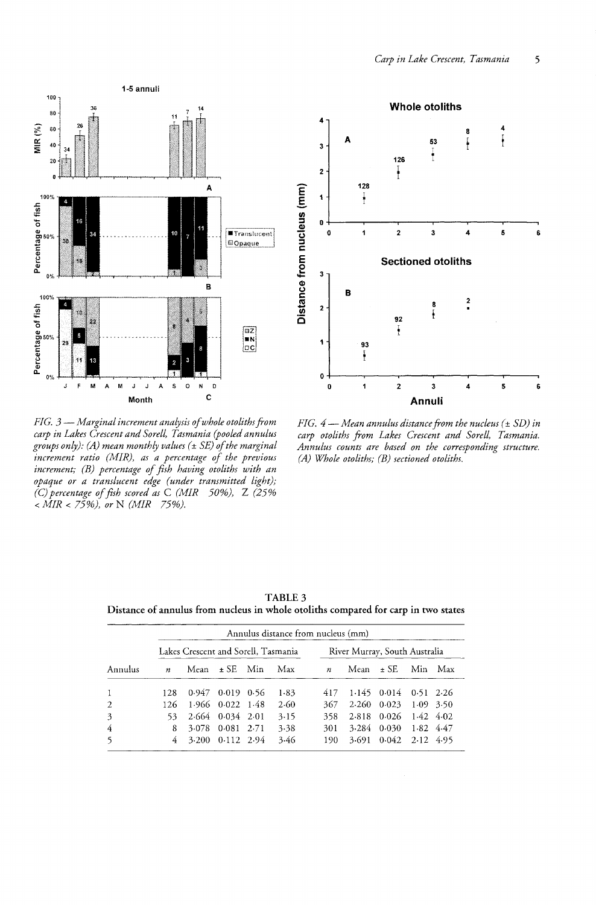![](_page_4_Figure_0.jpeg)

*FIG.*  $3$  – *Marginal increment analysis of whole otoliths from carp in Lakes Crescent and Sorell, Tasmania (pooled annulus groups only); (A) mean monthly values* (± *SE) of the marginal increment ratio (MIR), as a percentage of the previous increment; (B) percentage of fish having otoliths with an opaque or a translucent edge (under transmitted light);*  (C) *percentage of fish scored as* C *(MIR* 50%), Z (25% *< MIR* < 75%), *or* N *(MIR* 75%).

![](_page_4_Figure_2.jpeg)

*FIG.* 4 – *Mean annulus distance from the nucleus* ( $\pm$  *SD)* in *carp otoliths from Lakes Crescent and Sorell, Tasmania. Annulus counts are based on the corresponding structure. (A) Whole otoliths; (B) sectioned otoliths.* 

|              |                                     |       |                        |       | Annulus distance from nucleus (mm) |                               |       |                   |           |             |
|--------------|-------------------------------------|-------|------------------------|-------|------------------------------------|-------------------------------|-------|-------------------|-----------|-------------|
|              | Lakes Crescent and Sorell, Tasmania |       |                        |       |                                    | River Murray, South Australia |       |                   |           |             |
| Annulus      | $\boldsymbol{n}$                    | Mean  | $\pm$ SE.              | - Min | Max                                | $\boldsymbol{n}$              | Mean  | $\pm$ SE.         | Min.      | Max         |
| $\mathbf{1}$ | 128                                 |       | $0.947$ $0.019$ $0.56$ |       | 1.83                               | 417                           |       | $1.145$ 0.014     |           | $0.51$ 2.26 |
| 2            | 126                                 |       | 1.966 0.022 1.48       |       | 2.60                               | 367                           | 2.260 | 0.023             |           | $1.09$ 3.50 |
| 3            | 53                                  |       | 2.664 0.034 2.01       |       | 3.15                               | 358                           | 2.818 | 0.026             | 1.42 4.02 |             |
| 4            | 8                                   | 3.078 | 0.081                  | 2.71  | 3.38                               | 301                           | 3.284 | 0.030             | 1.82 4.47 |             |
| 5            | 4                                   | 3.200 | $0.112$ 2.94           |       | 3.46                               | 190                           | 3.691 | $0.042$ 2.12 4.95 |           |             |

TABLE 3 Distance of annulus from nucleus in whole otoliths compared for carp in two states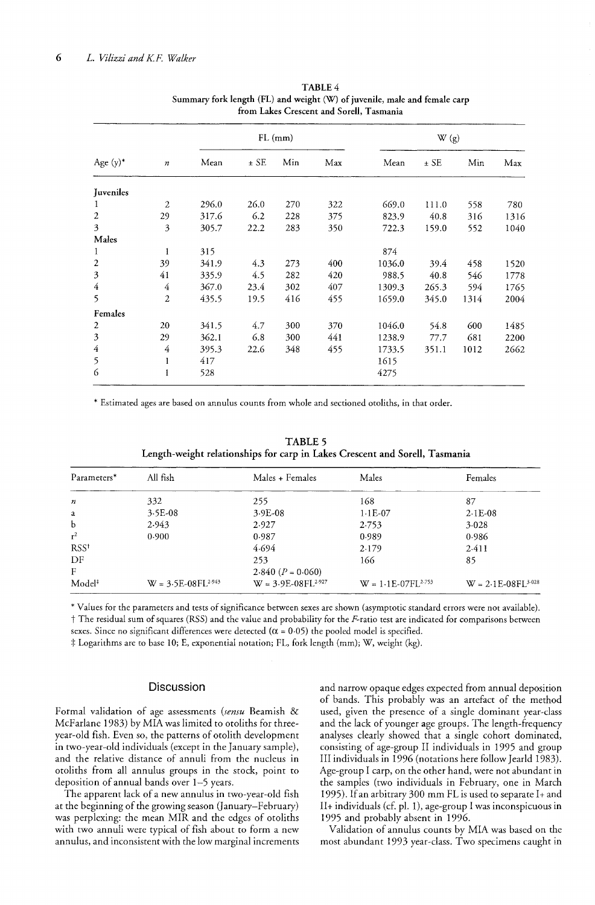|                  | $\it n$        | $FL$ (mm) |        |     |     | W(g)   |        |      |      |
|------------------|----------------|-----------|--------|-----|-----|--------|--------|------|------|
| Age $(y)^*$      |                | Mean      | $±$ SE | Min | Max | Mean   | $±$ SE | Min  | Max  |
| Juveniles        |                |           |        |     |     |        |        |      |      |
| 1                | 2              | 296.0     | 26.0   | 270 | 322 | 669.0  | 111.0  | 558  | 780  |
| 2                | 29             | 317.6     | 6.2    | 228 | 375 | 823.9  | 40.8   | 316  | 1316 |
| 3                | 3              | 305.7     | 22.2   | 283 | 350 | 722.3  | 159.0  | 552  | 1040 |
| Males            |                |           |        |     |     |        |        |      |      |
| 1                | 1              | 315       |        |     |     | 874    |        |      |      |
| $\boldsymbol{2}$ | 39             | 341.9     | 4.3    | 273 | 400 | 1036.0 | 39.4   | 458  | 1520 |
| 3                | 41             | 335.9     | 4.5    | 282 | 420 | 988.5  | 40.8   | 546  | 1778 |
| 4                | 4              | 367.0     | 23.4   | 302 | 407 | 1309.3 | 265.3  | 594  | 1765 |
| 5                | $\overline{2}$ | 435.5     | 19.5   | 416 | 455 | 1659.0 | 345.0  | 1314 | 2004 |
| Females          |                |           |        |     |     |        |        |      |      |
| $\boldsymbol{2}$ | 20             | 341.5     | 4.7    | 300 | 370 | 1046.0 | 54.8   | 600  | 1485 |
| 3                | 29             | 362.1     | 6.8    | 300 | 441 | 1238.9 | 77.7   | 681  | 2200 |
| $\overline{4}$   | 4              | 395.3     | 22.6   | 348 | 455 | 1733.5 | 351.1  | 1012 | 2662 |
| 5                | 1              | 417       |        |     |     | 1615   |        |      |      |
| 6                |                | 528       |        |     |     | 4275   |        |      |      |

TABLE 4 Summary fork length (FL) and weight (W) of juvenile, male and female carp from Lakes Crescent and Sorell, Tasmani

\* Estimated ages are based on annulus counts from whole and sectioned otoliths, in that order.

TABLE 5 Length-weight relationships for carp in Lakes Crescent and Sorell, Tasmania

| Parameters*        | All fish                | Males + Females         | Males                   | Females                 |  |
|--------------------|-------------------------|-------------------------|-------------------------|-------------------------|--|
| n                  | 332                     | 255                     | 168                     | 87                      |  |
| a                  | $3.5E-08$               | $3.9E-08$               | $1.1E-07$               | $2.1E-08$               |  |
| b                  | 2.943                   | 2.927                   | 2.753                   | 3.028                   |  |
| $r^2$              | 0.900                   | 0.987                   | 0.989                   | 0.986                   |  |
| RSS <sup>†</sup>   |                         | 4.694                   | 2.179                   | 2.411                   |  |
| DF                 |                         | 253                     | 166                     | 85                      |  |
| $_{\rm F}$         |                         | 2.840 $(P = 0.060)$     |                         |                         |  |
| Model <sup>#</sup> | $W = 3.5E-08FL^{2.943}$ | $W = 3.9E-08FL^{2.927}$ | $W = 1.1E-07FL^{2.753}$ | $W = 2.1E-08FL^{3.028}$ |  |

\* Values for the parameters and tests of significance between sexes are shown (asymptotic standard errors were not available). t The residual sum of squares (RSS) and the value and probability for the F-ratio test are indicated for comparisons between sexes. Since no significant differences were detected ( $\alpha$  = 0.05) the pooled model is specified.

 $\ddagger$  Logarithms are to base 10; E, exponential notation; FL, fork length (mm); W, weight (kg).

#### **Discussion**

Formal validation of age assessments *(sensu* Beamish & McFarlane 1983) by MIA was limited to otoliths for threeyear-old fish. Even so, the patterns of otolith development in two-year-old individuals (except in the January sample), and the relative distance of annuli from the nucleus in otoliths from all annulus groups in the stock, point to deposition of annual bands over 1-5 years.

The apparent lack of a new annulus in two-year-old fish at the beginning of the growing season Qanuary-February) was perplexing: the mean MIR and the edges of otoliths with two annuli were typical of fish about to form a new annulus, and inconsistent with the low marginal increments and narrow opaque edges expected from annual deposition of bands. This probably was an artefact of the method used, given the presence of a single dominant year-class and the lack of younger age groups. The length-frequency analyses clearly showed that a single cohort dominated, consisting of age-group II individuals in 1995 and group III individuals in 1996 (notations here follow Jearld 1983). Age-group I carp, on the other hand, were not abundant in the samples (two individuals in February, one in March 1995). If an arbitrary 300 mm FL is used to separate 1+ and II+ individuals (cf. pI. 1), age-group I was inconspicuous in 1995 and probably absent in 1996.

Validation of annulus counts by MIA was based on the most abundant 1993 year-class. Two specimens caught in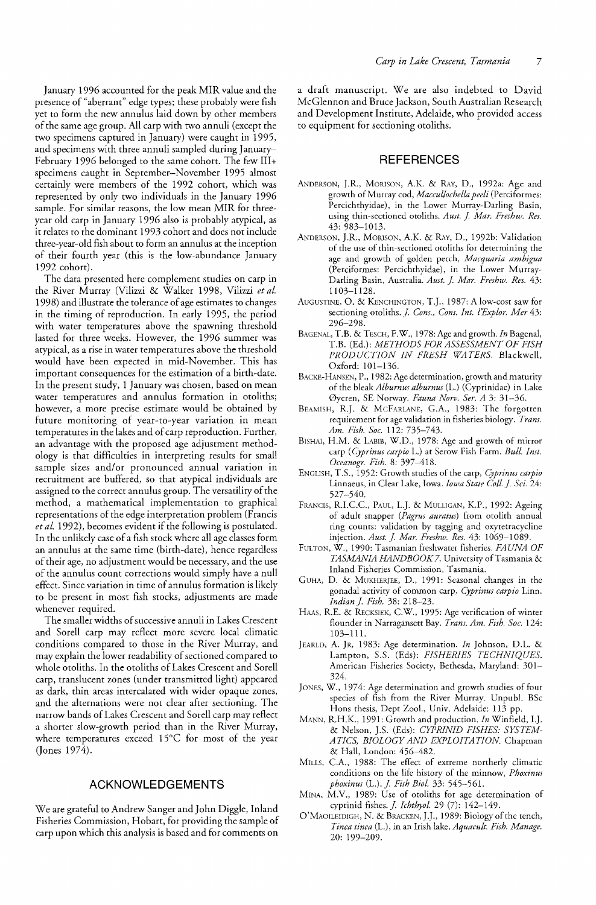January 1996 accounted for the peak MIR value and the presence of" aberrant" edge types; these probably were fish yet to form the new annulus laid down by other members of the same age group. All carp with two annuli (except the two specimens captured in January) were caught in 1995, and specimens with three annuli sampled during January-February 1996 belonged to the same cohort. The few III+ specimens caught in September-November 1995 almost certainly were members of the 1992 cohort, which was represented by only two individuals in the January 1996 sample. For similar reasons, the low mean MIR for threeyear old carp in January 1996 also is probably atypical, as it relates to the dominant 1993 cohort and does not include three-year-old fish about to form an annulus at the inception of their fourth year (this is the low-abundance January 1992 cohort).

The data presented here complement studies on carp in the River Murray (Vilizzi & Walker 1998, Vilizzi *et al.*  1998) and illustrate the tolerance of age estimates to changes in the timing of reproduction. In early 1995, the period with water temperatures above the spawning threshold lasted for three weeks. However, the 1996 summer was atypical, as a rise in water temperatures above the threshold would have been expected in mid-November. This has important consequences for the estimation of a birth-date. In the present study, 1 January was chosen, based on mean water temperatures and annulus formation in otoliths; however, a more precise estimate would be obtained by future monitoring of year-to-year variation in mean temperatures in the lakes and of carp reproduction. Further, an advantage with the proposed age adjustment methodology is that difficulties in interpreting results for small sample sizes and/or pronounced annual variation in recruitment are buffered, so that atypical individuals are assigned to the correct annulus group. The versatility of the method, a mathematical implementation to graphical representations of the edge interpretation problem (Francis *et* aL 1992), becomes evident if the following is postulated. In the unlikely case of a fish stock where all age classes form an annulus at the same time (birth-date), hence regardless of their age, no adjustment would be necessary, and the use of the annulus count corrections would simply have a null effect. Since variation in time of annulus formation is likely to be present in most fish stocks, adjustments are made whenever required.

The smaller widths of successive annuli in Lakes Crescent and Sorell carp may reflect more severe local climatic conditions compared to those in the River Murray, and may explain the lower readability of sectioned compared to whole otoliths. In the otoliths of Lakes Crescent and Sorell carp, translucent zones (under transmitted light) appeared as dark, thin areas intercalated with wider opaque zones, and the alternations were not clear after sectioning. The narrow bands of Lakes Crescent and Sorell carp may reflect a shorter slow-growth period than in the River Murray, where temperatures exceed 15°C for most of the year (Jones 1974).

## ACKNOWLEDGEMENTS

We are grateful to Andrew Sanger and John Diggle, Inland Fisheries Commission, Hobart, for providing the sample of carp upon which this analysis is based and for comments on a draft manuscript. We are also indebted to David McGlennon and Bruce Jackson, South Australian Research and Development Institute, Adelaide, who provided access to equipment for sectioning otoliths.

## **REFERENCES**

- ANDERSON, J.R., MORISON, A.K. & RAY, D., 1992a: Age and growth of Murray cod, *Maccullochella peeli* (Perciformes: Percichthyidae), in the Lower Murray-Darling Basin, using thin-sectioned otoliths. *Aust.* I *Mar. Freshw. Res.*  43: 983-1013.
- ANDERSON, J.R., MORISON, A.K. & RAY, D., 1992b: Validation of the use of thin-sectioned otoliths for determining the age and growth of golden perch, *Macquaria arnbigua*  (Perciformes: Percichthyidae), in the Lower Murray-Darling Basin, Australia. Aust. J. Mar. Freshw. Res. 43: 1103-1128.
- AUGUSTINE, O. & KENCHINGTON, T.]., 1987: A low-cost saw for sectioning otoliths. *J. Cons., Cons. Int. l'Explor. Mer* 43: 296-298.
- BAGENAL, T.B. & TESCH, F.W., 1978: Age and growth. *In* Bagenal, T.B. (Ed.): *METHODS FOR ASSESSMENT OF FISH PRODUCTION IN FRESH WATERS.* Blackwell, Oxford: 101-136.
- BACKE-HANSEN, P., 1982: Age determination, growth and maturity of the bleak *Alburnus alburnus* (L.) (Cyprinidae) in Lake 0yeren, SE Norway. *Fauna Norv. Ser. A* 3: 31-36.
- BEAMISH, R.J. & McFARLANE, G.A., 1983: The forgotten requirement for age validation in fisheries biology. *Trans. Am. Fish. Soc.* 112: 735-743.
- BISHAI, H.M. & LABIB, W.D., 1978: Age and growth of mirror carp *(Cyprinus carpio* L.) at Serow Fish Farm. *Bul!. Inst. Oeeanogr. Fish.* 8: 397-418.
- ENGLISH, T.S., 1952: Growth studies of the carp, *Cyprinus carpio*  Linnaeus, in Clear Lake, Iowa. *Iowa State CoIl.]. Sci. 24:*  527-540.
- FRANCIS, R.I.C.C., PAUL, L.J. & MULLIGAN, K.P., 1992: Ageing of adult snapper *(Pagrus auratus)* from otolith annual ring counts: validation by tagging and oxytetracycline injection. *Aust.]' Mar. Freshw. Res.* 43: 1069-1089.
- FULTON, W., 1990: Tasmanian freshwater fisheries. *FAUNA OF TASMANIA HANDBOOK7.* University of Tasmania & Inland Fisheries Commission, Tasmania.
- GUHA, D. & MUKHERJEE, D., 1991: Seasonal changes in the gonadal activity of common carp, *Cyprinus carpio* Linn. *Indian]. Fish.* 38: 218-23.
- HAAS, R.E. & RECKSIEK, C.W., 1995: Age verification of winter flounder in Narragansett Bay. *Trans. Am. Fish. Soc. 124:*  103-111.
- JEARLD, A. JR, 1983: Age determination. *In* Johnson, D.L. & Lampton, 5.5. (Eds): *FISHERIES TECHNIQUES.*  American Fisheries Society, Bethesda, Maryland: 301-324.
- JONES, W., 1974: Age determination and growth studies of four species of fish from the River Murray. Unpuh!. BSc Hons thesis, Dept Zoo!., Univ. Adelaide: 113 pp.
- MANN, R.H.K, 1991: Growth and production. *In* Winfield, 1.J. & Nelson, ].5. (Eds): *CYPRINID FISHES: SYSTEM-ATICS, BIOLOGY AND EXPLOITATION.* Chapman & Hall, London: 456-482.
- MILLS, C.A, 1988: The effect of extreme northerly climatic conditions on the life history of the minnow, *Phoxinus phoxinus* (L.).]. *Fish Bio!.* 33: 545-561.
- MINA, M.Y., 1989: Use of otoliths for age determination of cyprinid fishes. ]. *Ichthyol.* 29 (7): 142-149.
- O'MAOILEIDIGH, N. & BRACKEN,].J., 1989: Biology of the tench, *Tinea tinea* (L.), in an Irish lake. *Aquacult. Fish. Manage.*  20: 199-209.